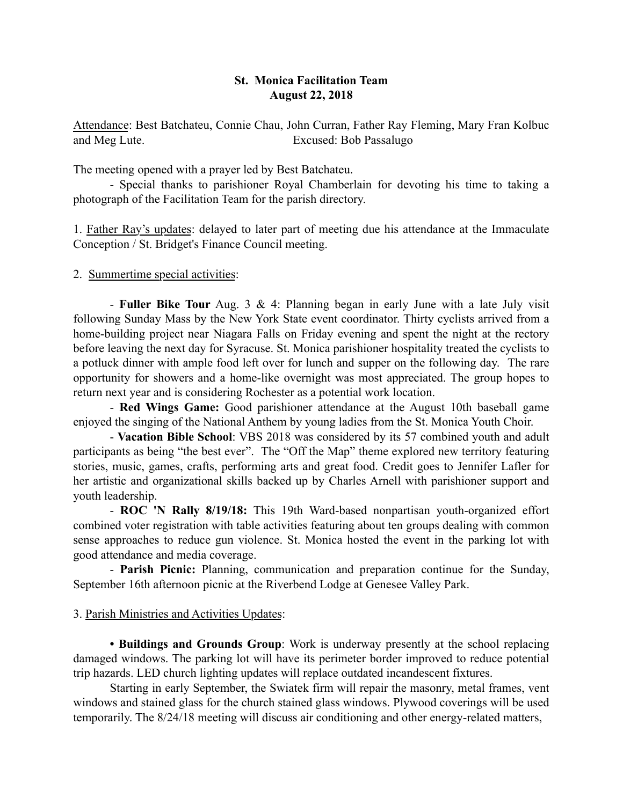## St. Monica Facilitation Team August 22, 2018

Attendance: Best Batchateu, Connie Chau, John Curran, Father Ray Fleming, Mary Fran Kolbuc and Meg Lute. Excused: Bob Passalugo

The meeting opened with a prayer led by Best Batchateu.

- Special thanks to parishioner Royal Chamberlain for devoting his time to taking a photograph of the Facilitation Team for the parish directory.

1. Father Ray's updates: delayed to later part of meeting due his attendance at the Immaculate Conception / St. Bridget's Finance Council meeting.

2. Summertime special activities:

- Fuller Bike Tour Aug. 3 & 4: Planning began in early June with a late July visit following Sunday Mass by the New York State event coordinator. Thirty cyclists arrived from a home-building project near Niagara Falls on Friday evening and spent the night at the rectory before leaving the next day for Syracuse. St. Monica parishioner hospitality treated the cyclists to a potluck dinner with ample food left over for lunch and supper on the following day. The rare opportunity for showers and a home-like overnight was most appreciated. The group hopes to return next year and is considering Rochester as a potential work location.

- Red Wings Game: Good parishioner attendance at the August 10th baseball game enjoyed the singing of the National Anthem by young ladies from the St. Monica Youth Choir.

- Vacation Bible School: VBS 2018 was considered by its 57 combined youth and adult participants as being "the best ever". The "Off the Map" theme explored new territory featuring stories, music, games, crafts, performing arts and great food. Credit goes to Jennifer Lafler for her artistic and organizational skills backed up by Charles Arnell with parishioner support and youth leadership.

- ROC 'N Rally 8/19/18: This 19th Ward-based nonpartisan youth-organized effort combined voter registration with table activities featuring about ten groups dealing with common sense approaches to reduce gun violence. St. Monica hosted the event in the parking lot with good attendance and media coverage.

- Parish Picnic: Planning, communication and preparation continue for the Sunday, September 16th afternoon picnic at the Riverbend Lodge at Genesee Valley Park.

## 3. Parish Ministries and Activities Updates:

• Buildings and Grounds Group: Work is underway presently at the school replacing damaged windows. The parking lot will have its perimeter border improved to reduce potential trip hazards. LED church lighting updates will replace outdated incandescent fixtures.

Starting in early September, the Swiatek firm will repair the masonry, metal frames, vent windows and stained glass for the church stained glass windows. Plywood coverings will be used temporarily. The 8/24/18 meeting will discuss air conditioning and other energy-related matters,